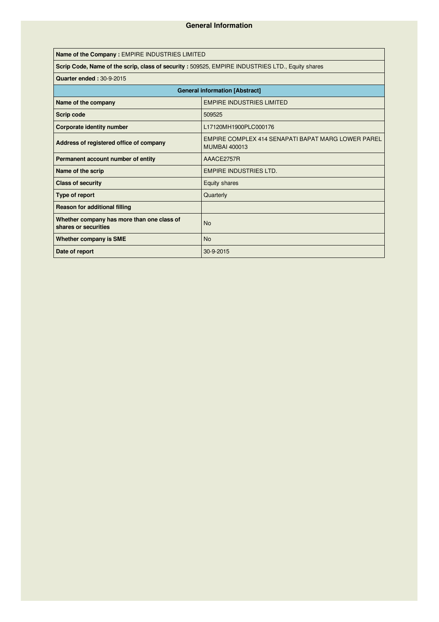| Name of the Company : EMPIRE INDUSTRIES LIMITED                                                 |                                                                            |  |  |  |  |  |  |
|-------------------------------------------------------------------------------------------------|----------------------------------------------------------------------------|--|--|--|--|--|--|
| Scrip Code, Name of the scrip, class of security: 509525, EMPIRE INDUSTRIES LTD., Equity shares |                                                                            |  |  |  |  |  |  |
| <b>Quarter ended: 30-9-2015</b>                                                                 |                                                                            |  |  |  |  |  |  |
| <b>General information [Abstract]</b>                                                           |                                                                            |  |  |  |  |  |  |
| Name of the company                                                                             | <b>EMPIRE INDUSTRIES LIMITED</b>                                           |  |  |  |  |  |  |
| Scrip code                                                                                      | 509525                                                                     |  |  |  |  |  |  |
| Corporate identity number                                                                       | L17120MH1900PLC000176                                                      |  |  |  |  |  |  |
| Address of registered office of company                                                         | EMPIRE COMPLEX 414 SENAPATI BAPAT MARG LOWER PAREL<br><b>MUMBAI 400013</b> |  |  |  |  |  |  |
| Permanent account number of entity                                                              | AAACE2757R                                                                 |  |  |  |  |  |  |
| Name of the scrip                                                                               | <b>EMPIRE INDUSTRIES LTD.</b>                                              |  |  |  |  |  |  |
| <b>Class of security</b>                                                                        | Equity shares                                                              |  |  |  |  |  |  |
| Type of report                                                                                  | Quarterly                                                                  |  |  |  |  |  |  |
| <b>Reason for additional filling</b>                                                            |                                                                            |  |  |  |  |  |  |
| Whether company has more than one class of<br>shares or securities                              | <b>No</b>                                                                  |  |  |  |  |  |  |
| <b>Whether company is SME</b>                                                                   | <b>No</b>                                                                  |  |  |  |  |  |  |
| Date of report                                                                                  | 30-9-2015                                                                  |  |  |  |  |  |  |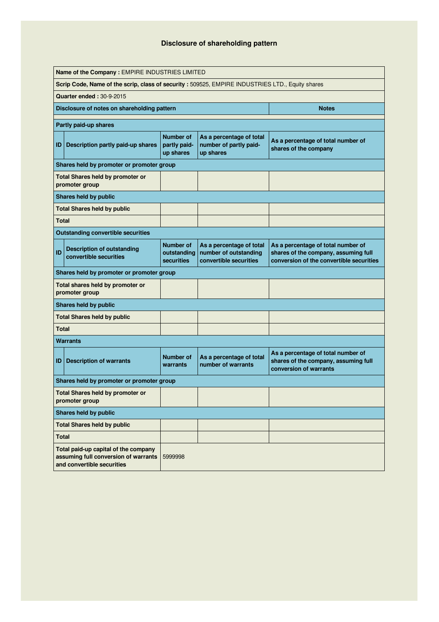# **Disclosure of shareholding pattern**

| Name of the Company : EMPIRE INDUSTRIES LIMITED |                                                                                                            |                                                      |                                                                             |                                                                                                                        |  |  |  |  |  |  |
|-------------------------------------------------|------------------------------------------------------------------------------------------------------------|------------------------------------------------------|-----------------------------------------------------------------------------|------------------------------------------------------------------------------------------------------------------------|--|--|--|--|--|--|
|                                                 | Scrip Code, Name of the scrip, class of security: 509525, EMPIRE INDUSTRIES LTD., Equity shares            |                                                      |                                                                             |                                                                                                                        |  |  |  |  |  |  |
|                                                 | <b>Quarter ended: 30-9-2015</b>                                                                            |                                                      |                                                                             |                                                                                                                        |  |  |  |  |  |  |
|                                                 | Disclosure of notes on shareholding pattern                                                                |                                                      |                                                                             | <b>Notes</b>                                                                                                           |  |  |  |  |  |  |
|                                                 | Partly paid-up shares                                                                                      |                                                      |                                                                             |                                                                                                                        |  |  |  |  |  |  |
| ID                                              | Description partly paid-up shares                                                                          | <b>Number of</b><br>partly paid-<br>up shares        | As a percentage of total<br>number of partly paid-<br>up shares             | As a percentage of total number of<br>shares of the company                                                            |  |  |  |  |  |  |
|                                                 | Shares held by promoter or promoter group                                                                  |                                                      |                                                                             |                                                                                                                        |  |  |  |  |  |  |
|                                                 | <b>Total Shares held by promoter or</b><br>promoter group                                                  |                                                      |                                                                             |                                                                                                                        |  |  |  |  |  |  |
|                                                 | Shares held by public                                                                                      |                                                      |                                                                             |                                                                                                                        |  |  |  |  |  |  |
|                                                 | <b>Total Shares held by public</b>                                                                         |                                                      |                                                                             |                                                                                                                        |  |  |  |  |  |  |
| <b>Total</b>                                    |                                                                                                            |                                                      |                                                                             |                                                                                                                        |  |  |  |  |  |  |
|                                                 | <b>Outstanding convertible securities</b>                                                                  |                                                      |                                                                             |                                                                                                                        |  |  |  |  |  |  |
| ID                                              | <b>Description of outstanding</b><br>convertible securities                                                | <b>Number of</b><br>outstanding<br><b>securities</b> | As a percentage of total<br>number of outstanding<br>convertible securities | As a percentage of total number of<br>shares of the company, assuming full<br>conversion of the convertible securities |  |  |  |  |  |  |
|                                                 | Shares held by promoter or promoter group                                                                  |                                                      |                                                                             |                                                                                                                        |  |  |  |  |  |  |
|                                                 | Total shares held by promoter or<br>promoter group                                                         |                                                      |                                                                             |                                                                                                                        |  |  |  |  |  |  |
|                                                 | Shares held by public                                                                                      |                                                      |                                                                             |                                                                                                                        |  |  |  |  |  |  |
|                                                 | <b>Total Shares held by public</b>                                                                         |                                                      |                                                                             |                                                                                                                        |  |  |  |  |  |  |
| <b>Total</b>                                    |                                                                                                            |                                                      |                                                                             |                                                                                                                        |  |  |  |  |  |  |
|                                                 | Warrants                                                                                                   |                                                      |                                                                             |                                                                                                                        |  |  |  |  |  |  |
| ID                                              | <b>Description of warrants</b>                                                                             | <b>Number of</b><br>warrants                         | As a percentage of total<br>number of warrants                              | As a percentage of total number of<br>shares of the company, assuming full<br>conversion of warrants                   |  |  |  |  |  |  |
|                                                 | Shares held by promoter or promoter group                                                                  |                                                      |                                                                             |                                                                                                                        |  |  |  |  |  |  |
|                                                 | <b>Total Shares held by promoter or</b><br>promoter group                                                  |                                                      |                                                                             |                                                                                                                        |  |  |  |  |  |  |
|                                                 | Shares held by public                                                                                      |                                                      |                                                                             |                                                                                                                        |  |  |  |  |  |  |
|                                                 | <b>Total Shares held by public</b>                                                                         |                                                      |                                                                             |                                                                                                                        |  |  |  |  |  |  |
| <b>Total</b>                                    |                                                                                                            |                                                      |                                                                             |                                                                                                                        |  |  |  |  |  |  |
|                                                 | Total paid-up capital of the company<br>assuming full conversion of warrants<br>and convertible securities | 5999998                                              |                                                                             |                                                                                                                        |  |  |  |  |  |  |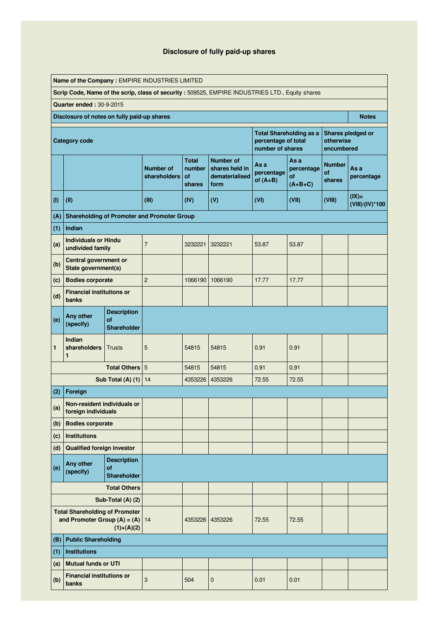# **Disclosure of fully paid-up shares**

|     | Name of the Company: EMPIRE INDUSTRIES LIMITED                          |                                                       |                                                    |                                        |                                                                                                 |                                         |                                      |                                      |                             |  |
|-----|-------------------------------------------------------------------------|-------------------------------------------------------|----------------------------------------------------|----------------------------------------|-------------------------------------------------------------------------------------------------|-----------------------------------------|--------------------------------------|--------------------------------------|-----------------------------|--|
|     |                                                                         |                                                       |                                                    |                                        | Scrip Code, Name of the scrip, class of security: 509525, EMPIRE INDUSTRIES LTD., Equity shares |                                         |                                      |                                      |                             |  |
|     | <b>Quarter ended: 30-9-2015</b>                                         |                                                       |                                                    |                                        |                                                                                                 |                                         |                                      |                                      |                             |  |
|     | Disclosure of notes on fully paid-up shares                             |                                                       |                                                    |                                        |                                                                                                 |                                         |                                      |                                      | <b>Notes</b>                |  |
|     | <b>Category code</b>                                                    |                                                       |                                                    |                                        |                                                                                                 | percentage of total<br>number of shares | <b>Total Shareholding as a</b>       | otherwise<br>encumbered              | Shares pledged or           |  |
|     |                                                                         |                                                       | <b>Number of</b><br>shareholders                   | <b>Total</b><br>number<br>of<br>shares | <b>Number of</b><br>shares held in<br>dematerialised<br>form                                    | As a<br>percentage<br>of $(A+B)$        | Asa<br>percentage<br>of<br>$(A+B+C)$ | <b>Number</b><br><b>of</b><br>shares | As a<br>percentage          |  |
| (1) | (II)                                                                    |                                                       | (III)                                              | (IV)                                   | (V)                                                                                             | (VI)                                    | (VII)                                | (VIII)                               | $(IX)$ =<br>(VIII)/(IV)*100 |  |
| (A) |                                                                         |                                                       | <b>Shareholding of Promoter and Promoter Group</b> |                                        |                                                                                                 |                                         |                                      |                                      |                             |  |
| (1) | Indian                                                                  |                                                       |                                                    |                                        |                                                                                                 |                                         |                                      |                                      |                             |  |
| (a) | <b>Individuals or Hindu</b><br>undivided family                         |                                                       | $\overline{7}$                                     | 3232221                                | 3232221                                                                                         | 53.87                                   | 53.87                                |                                      |                             |  |
| (b) | Central government or<br>State government(s)                            |                                                       |                                                    |                                        |                                                                                                 |                                         |                                      |                                      |                             |  |
| (c) | <b>Bodies corporate</b>                                                 |                                                       | $\overline{2}$                                     | 1066190                                | 1066190                                                                                         | 17.77                                   | 17.77                                |                                      |                             |  |
| (d) | <b>Financial institutions or</b><br>banks                               |                                                       |                                                    |                                        |                                                                                                 |                                         |                                      |                                      |                             |  |
| (e) | Any other<br>(specify)                                                  | <b>Description</b><br><b>of</b><br><b>Shareholder</b> |                                                    |                                        |                                                                                                 |                                         |                                      |                                      |                             |  |
| 1   | Indian<br>shareholders<br>1                                             | <b>Trusts</b>                                         | 5                                                  | 54815                                  | 54815                                                                                           | 0.91                                    | 0.91                                 |                                      |                             |  |
|     |                                                                         | Total Others 5                                        |                                                    | 54815                                  | 54815                                                                                           | 0.91                                    | 0.91                                 |                                      |                             |  |
|     |                                                                         | <b>Sub Total (A) (1) 14</b>                           |                                                    | 4353226                                | 4353226                                                                                         | 72.55                                   | 72.55                                |                                      |                             |  |
| (2) | Foreign                                                                 |                                                       |                                                    |                                        |                                                                                                 |                                         |                                      |                                      |                             |  |
| (a) | Non-resident individuals or<br>foreign individuals                      |                                                       |                                                    |                                        |                                                                                                 |                                         |                                      |                                      |                             |  |
| (b) | <b>Bodies corporate</b>                                                 |                                                       |                                                    |                                        |                                                                                                 |                                         |                                      |                                      |                             |  |
| (c) | <b>Institutions</b>                                                     |                                                       |                                                    |                                        |                                                                                                 |                                         |                                      |                                      |                             |  |
| (d) | <b>Qualified foreign investor</b>                                       |                                                       |                                                    |                                        |                                                                                                 |                                         |                                      |                                      |                             |  |
| (e) | Any other<br>(specify)                                                  | <b>Description</b><br><b>of</b><br>Shareholder        |                                                    |                                        |                                                                                                 |                                         |                                      |                                      |                             |  |
|     |                                                                         | <b>Total Others</b>                                   |                                                    |                                        |                                                                                                 |                                         |                                      |                                      |                             |  |
|     |                                                                         | Sub-Total (A) (2)                                     |                                                    |                                        |                                                                                                 |                                         |                                      |                                      |                             |  |
|     | <b>Total Shareholding of Promoter</b><br>and Promoter Group $(A) = (A)$ | $(1)+(A)(2)$                                          | 14                                                 |                                        | 4353226   4353226                                                                               | 72.55                                   | 72.55                                |                                      |                             |  |
| (B) | <b>Public Shareholding</b>                                              |                                                       |                                                    |                                        |                                                                                                 |                                         |                                      |                                      |                             |  |
| (1) | <b>Institutions</b>                                                     |                                                       |                                                    |                                        |                                                                                                 |                                         |                                      |                                      |                             |  |
| (a) | <b>Mutual funds or UTI</b>                                              |                                                       |                                                    |                                        |                                                                                                 |                                         |                                      |                                      |                             |  |
| (b) | <b>Financial institutions or</b><br>banks                               |                                                       | 3                                                  | 504                                    | 0                                                                                               | 0.01                                    | 0.01                                 |                                      |                             |  |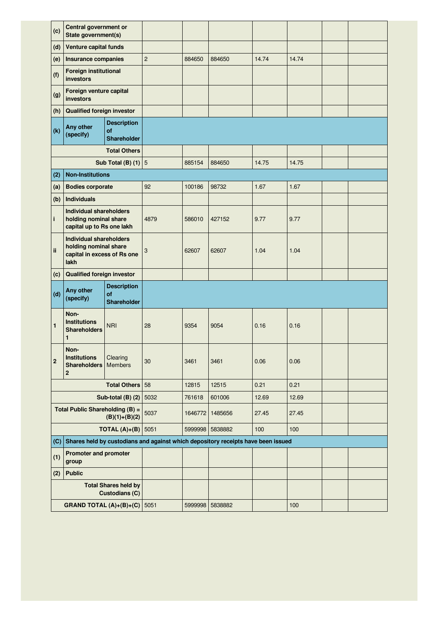| (c)          | Central government or<br>State government(s)                                                   |                                                      |                |         |                                                                                  |       |       |  |
|--------------|------------------------------------------------------------------------------------------------|------------------------------------------------------|----------------|---------|----------------------------------------------------------------------------------|-------|-------|--|
| (d)          | <b>Venture capital funds</b>                                                                   |                                                      |                |         |                                                                                  |       |       |  |
| (e)          | <b>Insurance companies</b>                                                                     |                                                      | $\overline{c}$ | 884650  | 884650                                                                           | 14.74 | 14.74 |  |
| (f)          | <b>Foreign institutional</b><br>investors                                                      |                                                      |                |         |                                                                                  |       |       |  |
| (g)          | Foreign venture capital<br>investors                                                           |                                                      |                |         |                                                                                  |       |       |  |
| (h)          | <b>Qualified foreign investor</b>                                                              |                                                      |                |         |                                                                                  |       |       |  |
| (k)          | Any other<br>(specify)                                                                         |                                                      |                |         |                                                                                  |       |       |  |
|              |                                                                                                | <b>Total Others</b>                                  |                |         |                                                                                  |       |       |  |
|              |                                                                                                | Sub Total (B) $(1)$ 5                                |                | 885154  | 884650                                                                           | 14.75 | 14.75 |  |
| (2)          | <b>Non-Institutions</b>                                                                        |                                                      |                |         |                                                                                  |       |       |  |
| (a)          | <b>Bodies corporate</b>                                                                        |                                                      | 92             | 100186  | 98732                                                                            | 1.67  | 1.67  |  |
| (b)          | <b>Individuals</b>                                                                             |                                                      |                |         |                                                                                  |       |       |  |
| i.           | <b>Individual shareholders</b><br>holding nominal share<br>capital up to Rs one lakh           |                                                      | 4879           | 586010  | 427152                                                                           | 9.77  | 9.77  |  |
| ii           | <b>Individual shareholders</b><br>holding nominal share<br>capital in excess of Rs one<br>lakh |                                                      | 3              | 62607   | 62607                                                                            | 1.04  | 1.04  |  |
| (c)          | <b>Qualified foreign investor</b>                                                              |                                                      |                |         |                                                                                  |       |       |  |
| (d)          | <b>Description</b><br>Any other<br><b>of</b><br>(specify)<br><b>Shareholder</b>                |                                                      |                |         |                                                                                  |       |       |  |
| 1            | Non-<br><b>Institutions</b><br><b>Shareholders</b><br>1                                        | <b>NRI</b>                                           | 28             | 9354    | 9054                                                                             | 0.16  | 0.16  |  |
|              |                                                                                                |                                                      |                |         |                                                                                  |       |       |  |
| $\mathbf{2}$ | Non-<br><b>Institutions</b><br><b>Shareholders</b><br>$\overline{2}$                           | Clearing<br><b>Members</b>                           | 30             | 3461    | 3461                                                                             | 0.06  | 0.06  |  |
|              |                                                                                                | Total Others 58                                      |                | 12815   | 12515                                                                            | 0.21  | 0.21  |  |
|              |                                                                                                | Sub-total (B) (2)                                    | 5032           | 761618  | 601006                                                                           | 12.69 | 12.69 |  |
|              | Total Public Shareholding (B) =                                                                | $(B)(1)+(B)(2)$                                      | 5037           | 1646772 | 1485656                                                                          | 27.45 | 27.45 |  |
|              |                                                                                                | <b>TOTAL (A)+(B)</b> 5051                            |                | 5999998 | 5838882                                                                          | 100   | 100   |  |
| (C)          |                                                                                                |                                                      |                |         | Shares held by custodians and against which depository receipts have been issued |       |       |  |
| (1)          | <b>Promoter and promoter</b><br>group                                                          |                                                      |                |         |                                                                                  |       |       |  |
| (2)          | <b>Public</b>                                                                                  |                                                      |                |         |                                                                                  |       |       |  |
|              |                                                                                                | <b>Total Shares held by</b><br><b>Custodians (C)</b> |                |         |                                                                                  |       |       |  |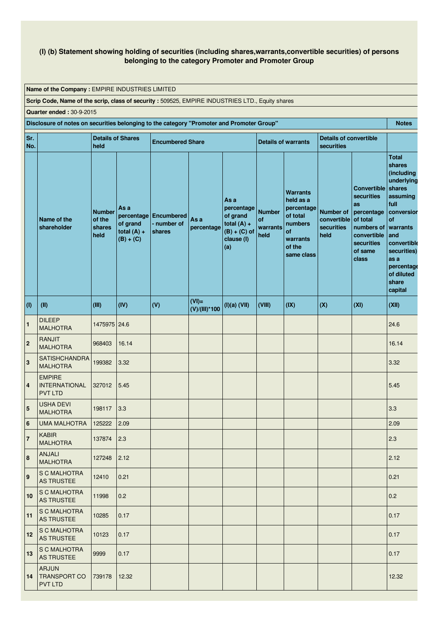### **(I) (b) Statement showing holding of securities (including shares,warrants,convertible securities) of persons belonging to the category Promoter and Promoter Group**

**Name of the Company :** EMPIRE INDUSTRIES LIMITED

**Scrip Code, Name of the scrip, class of security :** 509525, EMPIRE INDUSTRIES LTD., Equity shares

**Quarter ended :** 30-9-2015

**Disclosure of notes on securities belonging to the category "Promoter and Promoter Group" Notes Sr. No. Details of Shares held Encumbered Share Details** of warrants **Details of convertible securities Name of the shareholder Number of the shares held As a percentage of grand total (A) + (B) + (C) Encumbered - number of shares As a percentage As a percentage of grand total (A) + (B) + (C) of clause (I) (a) Number of warrants held Warrants held as a percentage of total numbers of warrants of the same class Number of convertible securities held Convertible securities as percentage of total numbers of convertible securities of same class Total shares (including underlying shares assuming full conversion of warrants and convertible securities) as a percentage of diluted share capital (I) (II) (III) (IV) (V) (VI)= (V)/(III)\*100 (I)(a) (VII) (VIII) (IX) (X) (XI) (XII) <sup>1</sup>** DILEEP MALHOTRA 1475975 24.6 24.6 **<sup>2</sup>** RANJIT MAI HOTRA 968403 16.14 16.14 **3**  $SATISHCHANDRA$  199382 MAI HOTRA 199382 3.32 3.32 **4** EMPIRE INTERNATIONAL PVT LTD 327012 5.45 5.45  $\vert$ <sub>5</sub> USHA DEVI MALHOTRA 198117 3.3 3.3 **6** UMA MALHOTRA 125222 2.09 2.09 **7** KABIR MALHOTRA 137874 2.3 2.3 **8** ANJALI MALHOTRA 127248 2.12 2.12 **9** S C MALHOTRA AS TRUSTEE 12410 0.21 0.21 **10** S C MALHOTRA AS TRUSTEE 11998 0.2 0.2 **11** S C MALHOTRA AS TRUSTEE 10285 0.17 0.17 **12** S C MALHOTRA AS TRUSTEE 10123 **0.17 1 10123 10.17 13** S C MALHOTRA AS TRUSTEE 9999 0.17 0.17 **14** ARJUN TRANSPORT CO PVT LTD 739178 12.32 12.32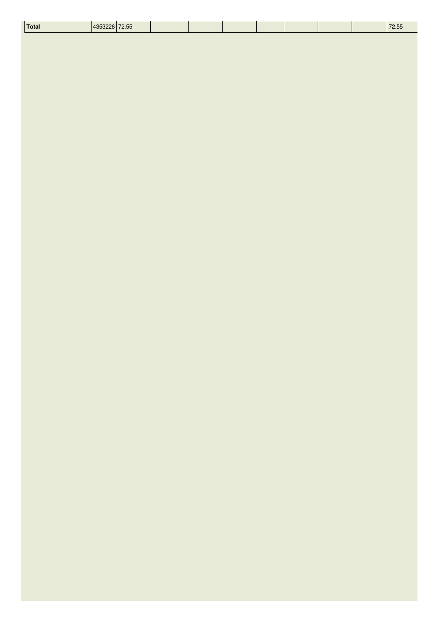| <b>Total</b> | 10000000000000<br>4000220172.00 | ้⊾ь |  |  |  | 70 F<br>/2.55 |
|--------------|---------------------------------|-----|--|--|--|---------------|
|              |                                 |     |  |  |  |               |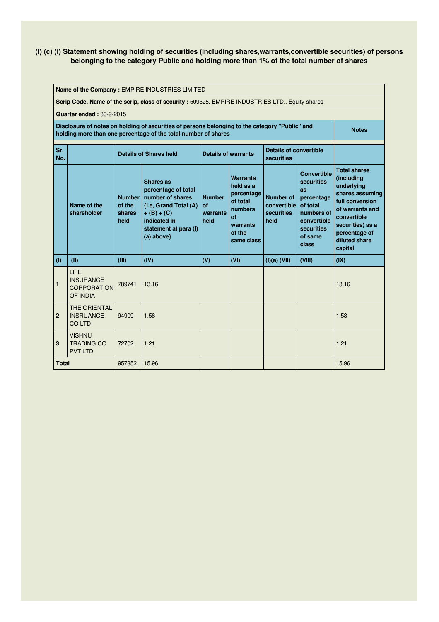## **(I) (c) (i) Statement showing holding of securities (including shares,warrants,convertible securities) of persons belonging to the category Public and holding more than 1% of the total number of shares**

|                                                                                                                                                                                  | Name of the Company: EMPIRE INDUSTRIES LIMITED                                                             |                                           |                                                                                                                                                    |                                         |                                                                                                             |                                                                                                                                                                                                        |        |                                                                                                                                                                                          |  |  |  |
|----------------------------------------------------------------------------------------------------------------------------------------------------------------------------------|------------------------------------------------------------------------------------------------------------|-------------------------------------------|----------------------------------------------------------------------------------------------------------------------------------------------------|-----------------------------------------|-------------------------------------------------------------------------------------------------------------|--------------------------------------------------------------------------------------------------------------------------------------------------------------------------------------------------------|--------|------------------------------------------------------------------------------------------------------------------------------------------------------------------------------------------|--|--|--|
|                                                                                                                                                                                  |                                                                                                            |                                           | Scrip Code, Name of the scrip, class of security : 509525, EMPIRE INDUSTRIES LTD., Equity shares                                                   |                                         |                                                                                                             |                                                                                                                                                                                                        |        |                                                                                                                                                                                          |  |  |  |
|                                                                                                                                                                                  | <b>Quarter ended: 30-9-2015</b>                                                                            |                                           |                                                                                                                                                    |                                         |                                                                                                             |                                                                                                                                                                                                        |        |                                                                                                                                                                                          |  |  |  |
| Disclosure of notes on holding of securities of persons belonging to the category "Public" and<br><b>Notes</b><br>holding more than one percentage of the total number of shares |                                                                                                            |                                           |                                                                                                                                                    |                                         |                                                                                                             |                                                                                                                                                                                                        |        |                                                                                                                                                                                          |  |  |  |
| Sr.<br>No.                                                                                                                                                                       | <b>Details of convertible</b><br><b>Details of warrants</b><br><b>Details of Shares held</b><br>securities |                                           |                                                                                                                                                    |                                         |                                                                                                             |                                                                                                                                                                                                        |        |                                                                                                                                                                                          |  |  |  |
|                                                                                                                                                                                  | Name of the<br>shareholder                                                                                 | <b>Number</b><br>of the<br>shares<br>held | Shares as<br>percentage of total<br>number of shares<br>{i.e, Grand Total (A)<br>$+(B)+(C)$<br>indicated in<br>statement at para (I)<br>(a) above} | <b>Number</b><br>οf<br>warrants<br>held | <b>Warrants</b><br>held as a<br>percentage<br>of total<br>numbers<br>of<br>warrants<br>of the<br>same class | <b>Convertible</b><br>securities<br>as<br><b>Number of</b><br>percentage<br>of total<br>convertible<br><b>securities</b><br>numbers of<br>held<br>convertible<br><b>securities</b><br>of same<br>class |        | <b>Total shares</b><br>(including<br>underlying<br>shares assuming<br>full conversion<br>of warrants and<br>convertible<br>securities) as a<br>percentage of<br>diluted share<br>capital |  |  |  |
| (1)                                                                                                                                                                              | (II)                                                                                                       | (III)                                     | (IV)                                                                                                                                               | (V)                                     | (VI)                                                                                                        | (I)(a) (VII)                                                                                                                                                                                           | (VIII) | (IX)                                                                                                                                                                                     |  |  |  |
| $\mathbf{1}$                                                                                                                                                                     | <b>LIFE</b><br><b>INSURANCE</b><br><b>CORPORATION</b><br>OF INDIA                                          | 789741                                    | 13.16                                                                                                                                              |                                         |                                                                                                             |                                                                                                                                                                                                        |        | 13.16                                                                                                                                                                                    |  |  |  |
| $\mathbf{2}$                                                                                                                                                                     | THE ORIENTAL<br><b>INSRUANCE</b><br><b>COLTD</b>                                                           | 94909                                     | 1.58                                                                                                                                               |                                         |                                                                                                             |                                                                                                                                                                                                        |        | 1.58                                                                                                                                                                                     |  |  |  |
| 3                                                                                                                                                                                | <b>VISHNU</b><br><b>TRADING CO</b><br><b>PVT LTD</b>                                                       | 72702                                     | 1.21                                                                                                                                               |                                         |                                                                                                             |                                                                                                                                                                                                        |        | 1.21                                                                                                                                                                                     |  |  |  |
| <b>Total</b>                                                                                                                                                                     |                                                                                                            | 957352                                    | 15.96                                                                                                                                              |                                         |                                                                                                             |                                                                                                                                                                                                        |        | 15.96                                                                                                                                                                                    |  |  |  |